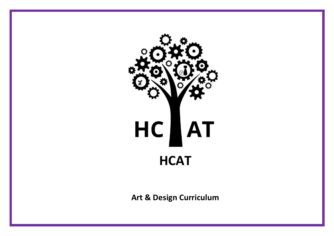

**Art & Design Curriculum**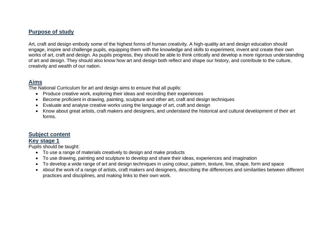## **Purpose of study**

Art, craft and design embody some of the highest forms of human creativity. A high-quality art and design education should engage, inspire and challenge pupils, equipping them with the knowledge and skills to experiment, invent and create their own works of art, craft and design. As pupils progress, they should be able to think critically and develop a more rigorous understanding of art and design. They should also know how art and design both reflect and shape our history, and contribute to the culture, creativity and wealth of our nation.

#### **Aims**

The National Curriculum for art and design aims to ensure that all pupils:

- Produce creative work, exploring their ideas and recording their experiences
- Become proficient in drawing, painting, sculpture and other art, craft and design techniques
- Evaluate and analyse creative works using the language of art, craft and design
- Know about great artists, craft makers and designers, and understand the historical and cultural development of their art forms.

## **Subject content**

#### **Key stage 1**

Pupils should be taught:

- To use a range of materials creatively to design and make products
- To use drawing, painting and sculpture to develop and share their ideas, experiences and imagination
- To develop a wide range of art and design techniques in using colour, pattern, texture, line, shape, form and space
- About the work of a range of artists, craft makers and designers, describing the differences and similarities between different practices and disciplines, and making links to their own work.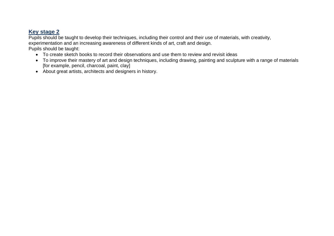# **Key stage 2**

Pupils should be taught to develop their techniques, including their control and their use of materials, with creativity, experimentation and an increasing awareness of different kinds of art, craft and design. Pupils should be taught:

- To create sketch books to record their observations and use them to review and revisit ideas
- To improve their mastery of art and design techniques, including drawing, painting and sculpture with a range of materials [for example, pencil, charcoal, paint, clay]
- About great artists, architects and designers in history.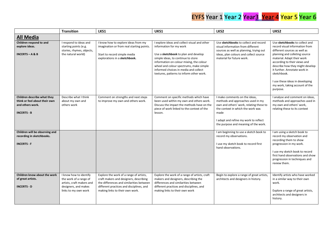# EYFS Year 1 Year 2 Year<sub>3</sub> Year 4 Year 5 Year 6

|                                                                                                      | <b>Transition</b>                                                                                                             | LKS1                                                                                                                                                                                                         | UKS1                                                                                                                                                                                                                                                                                                                              | LKS2                                                                                                                                                                                                                                        | UKS2                                                                                                                                                                                                                                                                                                                                                               |
|------------------------------------------------------------------------------------------------------|-------------------------------------------------------------------------------------------------------------------------------|--------------------------------------------------------------------------------------------------------------------------------------------------------------------------------------------------------------|-----------------------------------------------------------------------------------------------------------------------------------------------------------------------------------------------------------------------------------------------------------------------------------------------------------------------------------|---------------------------------------------------------------------------------------------------------------------------------------------------------------------------------------------------------------------------------------------|--------------------------------------------------------------------------------------------------------------------------------------------------------------------------------------------------------------------------------------------------------------------------------------------------------------------------------------------------------------------|
| <b>All Media</b>                                                                                     |                                                                                                                               |                                                                                                                                                                                                              |                                                                                                                                                                                                                                                                                                                                   |                                                                                                                                                                                                                                             |                                                                                                                                                                                                                                                                                                                                                                    |
| Children respond to and<br>explore ideas.<br><b>INCERTS - A &amp; B</b>                              | I respond to ideas and<br>starting points (e.g.<br>stories, rhymes, objects,<br>the natural world)                            | I know how to explore ideas from my<br>imagination or from real starting points.<br>Start to record simple media<br>explorations in a sketchbook.                                                            | I explore ideas and collect visual and other<br>information for my work<br>Use a sketchbook to plan and develop<br>simple ideas, to continue to store<br>information on colour mixing, the colour<br>wheel and colour spectrums, make simple<br>informed choices in media and collect<br>textures, patterns to inform other work. | Use sketchbooks to collect and record<br>visual information from different<br>sources as well as planning, trying out<br>ideas, plan colours and collect source<br>material for future work.                                                | Use sketchbooks to collect and<br>record visual information from<br>different sources as well as<br>planning and colleting source<br>material. Adapt their work<br>according to their views and<br>describe how they might develop<br>it further. Annotate work in<br>sketchbook.<br>I use these ideas in developing<br>my work, taking account of the<br>purpose. |
| Children describe what they<br>think or feel about their own<br>and others work.<br><b>INCERTS B</b> | Describe what I think<br>about my own and<br>others work                                                                      | Comment on strengths and next steps<br>to improve my own and others work.                                                                                                                                    | Comment on specific methods which have<br>been used within my own and others work.<br>Discuss the impact the methods have on the<br>piece of work linked to the context of the<br>lesson.                                                                                                                                         | I make comments on the ideas,<br>methods and approaches used in my<br>own and others' work, relating these to<br>the context in which the work was<br>made<br>I adapt and refine my work to reflect<br>the purpose and meaning of the work. | I analyse and comment on ideas,<br>methods and approaches used in<br>my own and others' work,<br>relating these to its context                                                                                                                                                                                                                                     |
| Children will be observing and<br>recording in sketchbooks.<br><b>INCERTS F</b>                      |                                                                                                                               |                                                                                                                                                                                                              |                                                                                                                                                                                                                                                                                                                                   | I am beginning to use a sketch book to<br>record my observations.<br>I use my sketch book to record first<br>hand observations.                                                                                                             | I am using a sketch book to<br>record my observation and<br>recording them to show<br>progression in my work.<br>I use my sketch book to record<br>first hand observations and show<br>progression in techniques and<br>review them.                                                                                                                               |
| Children know about the work<br>of great artists.<br><b>INCERTS - D</b>                              | I know how to identify<br>the work of a range of<br>artists, craft makers and<br>designers, and makes<br>links to my own work | Explore the work of a range of artists,<br>craft makers and designers, describing<br>the differences and similarities between<br>different practices and disciplines, and<br>making links to their own work. | Explore the work of a range of artists, craft<br>makers and designers, describing the<br>differences and similarities between<br>different practices and disciplines, and<br>making links to their own work                                                                                                                       | Begin to explore a range of great artists,<br>architects and designers in history.                                                                                                                                                          | Identify artists who have worked<br>in a similar way to their own<br>work.<br>Explore a range of great artists,<br>architects and designers in<br>history.                                                                                                                                                                                                         |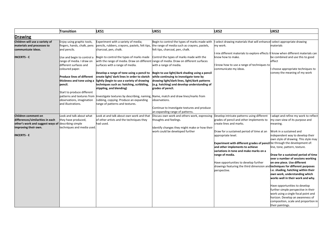|                                                                                                                                                           | <b>Transition</b>                                                                                                                                                                                                                              | LKS1                                                                                                                                                                                                                                                                                                                                                                                                                         | UKS1                                                                                                                                                                                                                                                                                                                               | LKS <sub>2</sub>                                                                                                                                                                                                                                                                                                                                                                                                                                                                                           | UKS <sub>2</sub>                                                                                                                                                                                                                                                                                                                                                            |
|-----------------------------------------------------------------------------------------------------------------------------------------------------------|------------------------------------------------------------------------------------------------------------------------------------------------------------------------------------------------------------------------------------------------|------------------------------------------------------------------------------------------------------------------------------------------------------------------------------------------------------------------------------------------------------------------------------------------------------------------------------------------------------------------------------------------------------------------------------|------------------------------------------------------------------------------------------------------------------------------------------------------------------------------------------------------------------------------------------------------------------------------------------------------------------------------------|------------------------------------------------------------------------------------------------------------------------------------------------------------------------------------------------------------------------------------------------------------------------------------------------------------------------------------------------------------------------------------------------------------------------------------------------------------------------------------------------------------|-----------------------------------------------------------------------------------------------------------------------------------------------------------------------------------------------------------------------------------------------------------------------------------------------------------------------------------------------------------------------------|
| <b>Drawing</b>                                                                                                                                            |                                                                                                                                                                                                                                                |                                                                                                                                                                                                                                                                                                                                                                                                                              |                                                                                                                                                                                                                                                                                                                                    |                                                                                                                                                                                                                                                                                                                                                                                                                                                                                                            |                                                                                                                                                                                                                                                                                                                                                                             |
| Children will use a variety of<br>materials and processes to<br>communicate ideas.                                                                        | Enjoy using graphic tools,<br>fingers, hands, chalk, pens<br>and pencils.                                                                                                                                                                      | Experiment with a variety of media;<br>charcoal, pen, chalk.                                                                                                                                                                                                                                                                                                                                                                 | Begin to control the types of marks made with<br>pencils, rubbers, crayons, pastels, felt tips, the range of media such as crayons, pastels,<br>felt tips, charcoal, pen, chalk.                                                                                                                                                   | select drawing materials that will enhancel select appropriate drawing<br>my work.                                                                                                                                                                                                                                                                                                                                                                                                                         | materials                                                                                                                                                                                                                                                                                                                                                                   |
| <b>INCERTS - C</b>                                                                                                                                        | Use and begin to control a<br>range of media. I draw on<br>different surfaces and<br>coloured paper.<br><b>Produce lines of different</b><br>thickness and tone using a<br>pencil.<br>Start to produce different<br>patterns and textures from | Begin to control the types of marks made Control the types of marks made with the<br>surfaces with a range of media.<br>Develop a range of tone using a pencil to<br>create light/ dark lines in order to sketch<br>lightly (begin to use a variety of drawing<br>techniques such as: hatching, scribbling,<br>stippling, and blending)<br>Investigate textures by describing, naming, Name, match and draw lines/marks from | with the range of media. Draw on different range of media. Draw on different surfaces<br>with a range of media.<br>Begin to use light/dark shading using a pencil<br>while continuing to investigate tone by<br>drawing light/dark lines, light/dark patterns<br>(e.g. hatching) and develop understanding of<br>grades of pencil. | mix different materials to explore effects III know when different materials can<br>mow how to make.<br>know how to use a range of techniques to<br>communicate my ideas.                                                                                                                                                                                                                                                                                                                                  | be combined and use this to good<br>effect<br>choose appropriate techniques to<br>convey the meaning of my work                                                                                                                                                                                                                                                             |
|                                                                                                                                                           | observations, imagination<br>and illustrations.                                                                                                                                                                                                | ubbing, copying. Produce an expanding<br>range of patterns and textures.                                                                                                                                                                                                                                                                                                                                                     | observations.<br>Continue to Investigate textures and produce<br>an expanding range of patterns.                                                                                                                                                                                                                                   |                                                                                                                                                                                                                                                                                                                                                                                                                                                                                                            |                                                                                                                                                                                                                                                                                                                                                                             |
| Children comment on<br>differences/similarities in each<br>other's work and suggest ways of describing simple<br>improving their own.<br><b>INCERTS E</b> | Look and talk about what<br>they have produced,<br>techniques and media used.                                                                                                                                                                  | ook at and talk about own work and that<br>of other artists and the techniques they<br>had used.                                                                                                                                                                                                                                                                                                                             | Discuss own work and others work, expressing<br>thoughts and feelings.<br>Identify changes they might make or how their<br>work could be developed further                                                                                                                                                                         | Develop intricate patterns using different<br>grades of pencil and other implements to<br>create lines and marks.<br>Draw for a sustained period of time at an<br>appropriate level.<br>Experiment with different grades of pencil be through the development of:<br>and other implements to achieve<br>variations in tone and make marks on a<br>range of media.<br>Have opportunities to develop further<br>drawings featuring the third dimension and techniques for different purposes<br>perspective. | adapt and refine my work to reflect<br>my own view of its purpose and<br>meaning.<br>Work in a sustained and<br>independent way to develop their<br>own style of drawing. This style may<br>line, tone, pattern, texture.<br>Draw for a sustained period of time<br>over a number of sessions working<br>on one piece. Use different<br>i.e. shading, hatching within their |
|                                                                                                                                                           |                                                                                                                                                                                                                                                |                                                                                                                                                                                                                                                                                                                                                                                                                              |                                                                                                                                                                                                                                                                                                                                    |                                                                                                                                                                                                                                                                                                                                                                                                                                                                                                            | own work, understanding which<br>works well in their work and why.<br>Have opportunities to develop<br>further simple perspective in their<br>work using a single focal point and<br>horizon. Develop an awareness of<br>composition, scale and proportion in<br>their paintings.                                                                                           |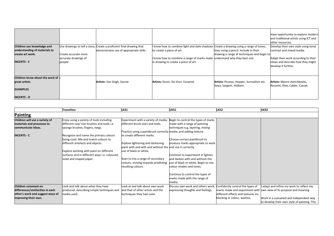| Children use knowledge and<br>understanding of materials to<br>create art work.<br><b>INCERTS C</b> | Create accurate more<br>accurate drawings of<br>people. | Use drawings to tell a story. Create a proficient final drawing that<br>demonstrates use of appropriate skills. | know how to combine light and dark shadows Create a drawing using a range of tones,<br>to create a piece of art.<br>I know how to combine a range of marks made understand why they best suit.<br>in drawing to create a piece of art. | lines using a pencil. Include in their<br>drawing a range of techniques and begin to | Have opportunity to explore modern<br>and traditional artists using ICT and<br>other resources.<br>Develop their own style using tonal<br>contrast and mixed media.<br>Adapt their work according to their<br>views and describe how they might<br>develop it further. |
|-----------------------------------------------------------------------------------------------------|---------------------------------------------------------|-----------------------------------------------------------------------------------------------------------------|----------------------------------------------------------------------------------------------------------------------------------------------------------------------------------------------------------------------------------------|--------------------------------------------------------------------------------------|------------------------------------------------------------------------------------------------------------------------------------------------------------------------------------------------------------------------------------------------------------------------|
| Children know about the work of<br>great artists.<br><b>EXAMPLES</b><br><b>INCERTS - D</b>          |                                                         | <b>Artists:</b> Van Gogh, Seurat                                                                                | Artists: Durer, Da Vinci, Cezanne                                                                                                                                                                                                      | Artists: Picasso, Hopper, Surrealism etc.<br>Goya, Sargent, Holbein.                 | <b>Artists:</b> Moore sketchbooks,<br>Rossetti, Klee, Calder, Cassat.                                                                                                                                                                                                  |

|                                  | <b>Transition</b>                             | KS1                                                              | UKS1                                                                    | <b>LKS2</b>                         | UKS2                                                                |
|----------------------------------|-----------------------------------------------|------------------------------------------------------------------|-------------------------------------------------------------------------|-------------------------------------|---------------------------------------------------------------------|
| <b>Painting</b>                  |                                               |                                                                  |                                                                         |                                     |                                                                     |
| Children will use a variety of   | Enjoy using a variety of tools including      |                                                                  | Experiment with a variety of media; Begin to control the types of marks |                                     |                                                                     |
| materials and processes to       | different size/ size brushes and tools i.e.   | different brush sizes and tools.                                 | made with a range of painting                                           |                                     |                                                                     |
| communicate ideas.               | sponge brushes, fingers, twigs.               |                                                                  | techniques e.g. layering, mixing                                        |                                     |                                                                     |
|                                  |                                               | Practice using a paintbrush correctly media, and adding texture. |                                                                         |                                     |                                                                     |
| <b>INCERTS - C</b>               | Recognise and name the primary colours        | to create different marks.                                       |                                                                         |                                     |                                                                     |
|                                  | being used. Mix and match colours to          |                                                                  | Choose correct paintbrush to                                            |                                     |                                                                     |
|                                  | different artefacts and objects.              | Explore lightening and darkening                                 | produce marks appropriate to work                                       |                                     |                                                                     |
|                                  |                                               | paint with and with and without the land use it correctly.       |                                                                         |                                     |                                                                     |
|                                  | Explore working with paint on different       | use of black or white.                                           |                                                                         |                                     |                                                                     |
|                                  | surfaces and in different ways i.e. coloured, |                                                                  | Continue to experiment in lighten                                       |                                     |                                                                     |
|                                  | sized and shaped paper.                       | Start to mix a range of secondary                                | and darken with and without the                                         |                                     |                                                                     |
|                                  |                                               | colours, moving towards predicting                               | use of black or white. Begin to mix                                     |                                     |                                                                     |
|                                  |                                               | resulting colours.                                               | colour shades and tones.                                                |                                     |                                                                     |
|                                  |                                               |                                                                  |                                                                         |                                     |                                                                     |
|                                  |                                               |                                                                  | Continue to control the types of                                        |                                     |                                                                     |
|                                  |                                               |                                                                  | marks made with the range of                                            |                                     |                                                                     |
|                                  |                                               |                                                                  | media.                                                                  |                                     |                                                                     |
| Children comment on              | Look and talk about what they have            | Look at and talk about own work                                  | Discuss own work and others work, Confidently control the types of      |                                     | I adapt and refine my work to reflect my                            |
| differences/similarities in each | produced, describing simple techniques and    | and that of other artists and the                                | expressing thoughts and feelings.                                       |                                     | marks made and experiment with own view of its purpose and meaning. |
| other's work and suggest ways of | media used.                                   | techniques they had used.                                        |                                                                         | different effects and textures inc. |                                                                     |
| improving their own.             |                                               |                                                                  |                                                                         | blocking in colour, washes,         | Work in a sustained and independent way                             |
|                                  |                                               |                                                                  |                                                                         |                                     | to develop their own style of painting. This                        |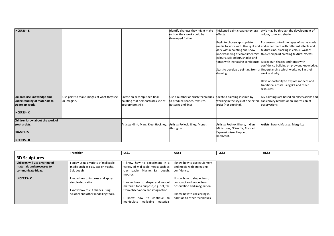| <b>INCERTS - E</b>                                                                                    |                                                          |                                                                                          | Identify changes they might make<br>or how their work could be<br>developed further    | thickened paint creating textural<br>effects.<br>Begin to choose appropriate<br>dark within painting and show<br>understanding of complimentary<br>colours. Mix colour, shades and<br>drawing. | style may be through the development of:<br>colour, tone and shade.<br>Purposely control the types of marks made<br>media to work with. Use light and and experiment with different effects and<br>textures inc. blocking in colour, washes,<br>thickened paint creating textural effects.<br>tones with increasing confidence. Mix colour, shades and tones with<br>confidence building on previous knowledge.<br>Start to develop a painting from a Understanding which works well in their<br>work and why.<br>Have opportunity to explore modern and |
|-------------------------------------------------------------------------------------------------------|----------------------------------------------------------|------------------------------------------------------------------------------------------|----------------------------------------------------------------------------------------|------------------------------------------------------------------------------------------------------------------------------------------------------------------------------------------------|----------------------------------------------------------------------------------------------------------------------------------------------------------------------------------------------------------------------------------------------------------------------------------------------------------------------------------------------------------------------------------------------------------------------------------------------------------------------------------------------------------------------------------------------------------|
| Children use knowledge and<br>understanding of materials to<br>create art work.<br><b>INCERTS - C</b> | Use paint to make images of what they see<br>or imagine. | Create an accomplished final<br>painting that demonstrates use of<br>appropriate skills. | Use a number of brush techniques<br>to produce shapes, textures,<br>patterns and lines | Create a painting inspired by<br>working in the style of a selected<br>artist (not copying).                                                                                                   | traditional artists using ICT and other<br>resources.<br>My paintings are based on observations and<br>can convey realism or an impression of<br>observations                                                                                                                                                                                                                                                                                                                                                                                            |
| Children know about the work of<br>great artists.<br><b>EXAMPLES</b><br><b>INCERTS D</b>              |                                                          | Artists: Klimt, Marc, Klee, Hockney.                                                     | Artists: Pollock, Riley, Monet,<br>Aboriginal                                          | Artists: Rothko, Rivera, Indian<br>Miniatures, O'Keeffe, Abstract<br>Expressionism, Hopper,<br>Rambrant.                                                                                       | Artists: Lowry, Matisse, Margritte.                                                                                                                                                                                                                                                                                                                                                                                                                                                                                                                      |

|                                | <b>Transition</b>                    | LKS1                                    | UKS1                         | LKS <sub>2</sub> | UKS2 |
|--------------------------------|--------------------------------------|-----------------------------------------|------------------------------|------------------|------|
| <b>3D Sculptures</b>           |                                      |                                         |                              |                  |      |
| Children will use a variety of | I enjoy using a variety of malleable | know how to experiment in a             | I know how to use equipment  |                  |      |
| materials and processes to     | media such as clay, papier Mache,    | variety of malleable media such as      | and media with increasing    |                  |      |
| communicate ideas.             | Salt dough.                          | clay, papier Mache, Salt dough,         | confidence.                  |                  |      |
|                                |                                      | modroc.                                 |                              |                  |      |
| <b>INCERTS - C</b>             | I know how to impress and apply      |                                         | I know how to shape, form,   |                  |      |
|                                | simple decoration.                   | know how to shape and model             | construct and model from     |                  |      |
|                                |                                      | materials for a purpose, e.g. pot, tile | observation and imagination. |                  |      |
|                                | I know how to cut shapes using       | from observation and imagination.       |                              |                  |      |
|                                | scissors and other modelling tools.  |                                         | I know how to use coiling in |                  |      |
|                                |                                      | continue to<br>know<br>how to           | addition to other techniques |                  |      |
|                                |                                      | malleable materials<br>manipulate       |                              |                  |      |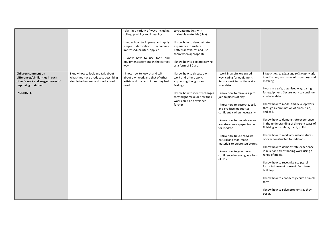|                                                                                                                                           |                                                                                                               | (clay) in a variety of ways including<br>rolling, pinching and kneading.<br>I know how to impress and apply<br>simple decoration techniques:<br>impressed, painted, applied.<br>I know how to use tools and<br>equipment safely and in the correct<br>way. | to create models with<br>malleable materials (clay).<br>I know how to demonstrate<br>experience in surface<br>patterns/ textures and use<br>them when appropriate.<br>I know how to explore carving<br>as a form of 3D art. |                                                                                                                                                                                                                                                                                                                                                                                                                                                                                                                |                                                                                                                                                                                                                                                                                                                                                                                                                                                                                                                                                                                                                                                                                                                                                                                                                        |
|-------------------------------------------------------------------------------------------------------------------------------------------|---------------------------------------------------------------------------------------------------------------|------------------------------------------------------------------------------------------------------------------------------------------------------------------------------------------------------------------------------------------------------------|-----------------------------------------------------------------------------------------------------------------------------------------------------------------------------------------------------------------------------|----------------------------------------------------------------------------------------------------------------------------------------------------------------------------------------------------------------------------------------------------------------------------------------------------------------------------------------------------------------------------------------------------------------------------------------------------------------------------------------------------------------|------------------------------------------------------------------------------------------------------------------------------------------------------------------------------------------------------------------------------------------------------------------------------------------------------------------------------------------------------------------------------------------------------------------------------------------------------------------------------------------------------------------------------------------------------------------------------------------------------------------------------------------------------------------------------------------------------------------------------------------------------------------------------------------------------------------------|
| Children comment on<br>differences/similarities in each<br>other's work and suggest ways of<br>improving their own.<br><b>INCERTS - E</b> | I know how to look and talk about<br>what they have produced, describing<br>simple techniques and media used. | I know how to look at and talk<br>about own work and that of other<br>artists and the techniques they had<br>used.                                                                                                                                         | I know how to discuss own<br>work and others work,<br>expressing thoughts and<br>feelings.<br>I know how to identify changes<br>they might make or how their<br>work could be developed<br>further                          | I work in a safe, organised<br>way, caring for equipment.<br>Secure work to continue at a<br>later date.<br>I know how to make a slip to<br>join to pieces of clay.<br>I know how to decorate, coil,<br>and produce maquettes<br>confidently when necessarily.<br>I know how to model over an<br>armature: newspaper frame<br>for modroc<br>I know how to use recycled,<br>natural and man-made<br>materials to create sculptures.<br>I know how to gain more<br>confidence in carving as a form<br>of 3D art. | I know how to adapt and refine my work<br>to reflect my own view of its purpose and<br>meaning<br>I work in a safe, organised way, caring<br>for equipment. Secure work to continue<br>at a later date.<br>I know how to model and develop work<br>through a combination of pinch, slab,<br>and coil.<br>I know how to demonstrate experience<br>in the understanding of different ways of<br>finishing work: glaze, paint, polish.<br>I know how to work around armatures<br>or over constructed foundations.<br>I know how to demonstrate experience<br>in relief and freestanding work using a<br>range of media.<br>I know how to recognise sculptural<br>forms in the environment: Furniture,<br>buildings.<br>I know how to confidently carve a simple<br>form<br>I know how to solve problems as they<br>occur. |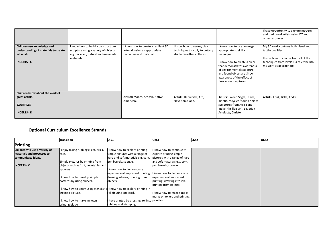|                                                                                                     |                                                                                                                                 |                                                                                                |                                                                                          |                                                                                                                                                                                                                                                        | I have opportunity to explore modern<br>and traditional artists using ICT and<br>other resources.                                                                     |
|-----------------------------------------------------------------------------------------------------|---------------------------------------------------------------------------------------------------------------------------------|------------------------------------------------------------------------------------------------|------------------------------------------------------------------------------------------|--------------------------------------------------------------------------------------------------------------------------------------------------------------------------------------------------------------------------------------------------------|-----------------------------------------------------------------------------------------------------------------------------------------------------------------------|
| Children use knowledge and<br>understanding of materials to create<br>art work.<br><b>INCERTS C</b> | I know how to build a construction/<br>sculpture using a variety of objects<br>e.g. recycled, natural and manmade<br>materials. | I know how to create a resilient 3D<br>artwork using an appropriate<br>technique and material. | I know how to use my clay<br>techniques to apply to pottery<br>studied in other cultures | I know how to use language<br>appropriate to skill and<br>technique.<br>I know how to create a piece<br>that demonstrates awareness<br>of environmental sculpture<br>and found object art. Show<br>awareness of the effect of<br>time upon sculptures. | My 3D work contains both visual and<br>tactile qualities<br>I know how to choose from all of the<br>techniques from levels 1-4 to embellish<br>my work as appropriate |
| Children know about the work of<br>great artists.<br><b>EXAMPLES</b><br><b>INCERTS D</b>            |                                                                                                                                 | Artists: Moore, African, Native<br>American.                                                   | Artists: Hepworth, Arp,<br>Nevelson, Gabo.                                               | Artists: Calder, Segal, Leach,<br>Kinetic, recycled/found object<br>sculptures from Africa and<br>India (Flip-flop art), Egyptian<br>Artefacts, Christo                                                                                                | Artists: Frink, Balla, Andre                                                                                                                                          |

#### **Optional Curriculum Excellence Strands**

|                                | <b>Transition</b>                                                   | LKS1                                                        | UKS1                          | <b>LKS2</b> | UKS2 |
|--------------------------------|---------------------------------------------------------------------|-------------------------------------------------------------|-------------------------------|-------------|------|
| Printing                       |                                                                     |                                                             |                               |             |      |
| Children will use a variety of | enjoy taking rubbings: leaf, brick,                                 | know how to explore printing                                | I know how to continue to     |             |      |
| materials and processes to     | coin.                                                               | simple pictures with a range of                             | explore printing simple       |             |      |
| communicate ideas.             |                                                                     | hard and soft materials e.g. cork,                          | pictures with a range of hard |             |      |
|                                | Simple pictures by printing from                                    | pen barrels, sponge.                                        | and soft materials e.g. cork, |             |      |
| <b>INCERTS C</b>               | objects such as fruit, vegetables and                               |                                                             | pen barrels, sponge.          |             |      |
|                                | sponges                                                             | know how to demonstrate                                     |                               |             |      |
|                                |                                                                     | experience at impressed printing: I know how to demonstrate |                               |             |      |
|                                | know how to develop simple                                          | drawing into ink, printing from                             | experience at impressed       |             |      |
|                                | patterns by using objects.                                          | objects.                                                    | printing: drawing into ink,   |             |      |
|                                |                                                                     |                                                             | printing from objects.        |             |      |
|                                | know how to enjoy using stencils to know how to explore printing in |                                                             |                               |             |      |
|                                | create a picture.                                                   | relief: Sting and card.                                     | I know how to make simple     |             |      |
|                                |                                                                     |                                                             | marks on rollers and printing |             |      |
|                                | know how to make my own                                             | have printed by pressing, rolling, palettes                 |                               |             |      |
|                                | printing blocks                                                     | rubbing and stamping                                        |                               |             |      |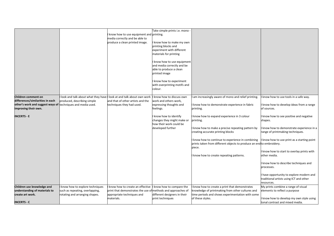|                                                                                                                                                |                                                                                                     | I know how to use equipment and printing.<br>media correctly and be able to<br>produce a clean printed image. | Take simple prints i.e. mono -<br>know how to make my own<br>printing blocks and<br>experiment with different<br>materials for printing<br>know how to use equipment<br>and media correctly and be |                                                                                                                                                                                                                                                                                                                                                                               |                                                                                                                                                                                                                                                                                                                                                                                                                                               |
|------------------------------------------------------------------------------------------------------------------------------------------------|-----------------------------------------------------------------------------------------------------|---------------------------------------------------------------------------------------------------------------|----------------------------------------------------------------------------------------------------------------------------------------------------------------------------------------------------|-------------------------------------------------------------------------------------------------------------------------------------------------------------------------------------------------------------------------------------------------------------------------------------------------------------------------------------------------------------------------------|-----------------------------------------------------------------------------------------------------------------------------------------------------------------------------------------------------------------------------------------------------------------------------------------------------------------------------------------------------------------------------------------------------------------------------------------------|
|                                                                                                                                                |                                                                                                     |                                                                                                               | able to produce a clean<br>printed image<br>know how to experiment<br>with overprinting motifs and<br>colour.                                                                                      |                                                                                                                                                                                                                                                                                                                                                                               |                                                                                                                                                                                                                                                                                                                                                                                                                                               |
| Children comment on<br>differences/similarities in each<br>other's work and suggest ways of techniques and media used.<br>improving their own. | look and talk about what they have I look at and talk about own work<br>produced, describing simple | and that of other artists and the<br>techniques they had used.                                                | know how to discuss own<br>work and others work,<br>expressing thoughts and<br>feelings.                                                                                                           | am increasingly aware of mono and relief printing.<br>know how to demonstrate experience in fabric<br>printing.                                                                                                                                                                                                                                                               | know how to use tools in a safe way.<br>I know how to develop ideas from a range<br>of sources.                                                                                                                                                                                                                                                                                                                                               |
| <b>INCERTS E</b><br>Children use knowledge and                                                                                                 | know how to explore techniques                                                                      | know how to create an effective                                                                               | know how to identify<br>changes they might make or<br>how their work could be<br>developed further<br>know how to compare the                                                                      | know how to expand experience in 3 colour<br>printing.<br>know how to make a precise repeating pattern by<br>creating accurate printing blocks<br>know how to continue to experience in combining<br>prints taken from different objects to produce an end to embroidery.<br>piece.<br>know how to create repeating patterns.<br>know how to create a print that demonstrates | know how to see positive and negative<br>shapes.<br>I know how to demonstrate experience in a<br>range of printmaking techniques.<br>I know how to use print as a starting point<br>know how to start to overlay prints with<br>other media.<br>I know how to describe techniques and<br>processes.<br>have opportunity to explore modern and<br>traditional artists using ICT and other<br>resources.<br>My prints combine a range of visual |
| understanding of materials to<br>create art work.<br><b>INCERTS - C</b>                                                                        | such as repeating, overlapping,<br>rotating and arranging shapes.                                   | print that demonstrates the use of methods and approaches of<br>appropriate techniques and<br>materials.      | different designers in their<br>print techniques                                                                                                                                                   | knowledge of printmaking from other cultures and<br>time periods and shows experimentation with some<br>of these styles.                                                                                                                                                                                                                                                      | elements to reflect a purpose<br>I know how to develop my own style using<br>tonal contrast and mixed media.                                                                                                                                                                                                                                                                                                                                  |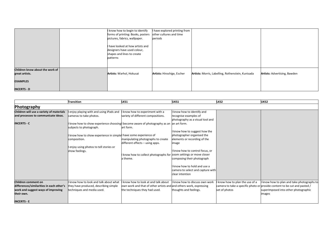|                                                                                            | I know how to begin to identify<br>forms of printing: Books, posters<br>pictures, fabrics, wallpaper.<br>have looked at how artists and<br>designers have used colour,<br>shapes and lines to create<br>patterns | have explored printing from<br>other cultures and time<br>periods |                                                   |                                     |
|--------------------------------------------------------------------------------------------|------------------------------------------------------------------------------------------------------------------------------------------------------------------------------------------------------------------|-------------------------------------------------------------------|---------------------------------------------------|-------------------------------------|
| Children know about the work of<br>great artists.<br><b>EXAMPLES</b><br><b>INCERTS - D</b> | Artists: Warhol, Hokusai                                                                                                                                                                                         | Artists: Hiroshige, Escher                                        | Artists: Morris, Labelling, Rothenstein, Kunisada | <b>Artists: Advertising, Bawden</b> |

|                                          | <b>Transition</b>                                                                     | LKS1                                                               | UKS1                              | LKS2                          | UKS2                                                                      |
|------------------------------------------|---------------------------------------------------------------------------------------|--------------------------------------------------------------------|-----------------------------------|-------------------------------|---------------------------------------------------------------------------|
| Photography                              |                                                                                       |                                                                    |                                   |                               |                                                                           |
| Children will use a variety of materials | enjoy playing with and using iPads and                                                | know how to experiment with a                                      | I know how to identify and        |                               |                                                                           |
| and processes to communicate ideas.      | cameras to take photos.                                                               | variety of different compositions.                                 | recognise examples of             |                               |                                                                           |
|                                          |                                                                                       |                                                                    | photography as a visual tool and  |                               |                                                                           |
| <b>INCERTS - C</b>                       | I know how to show experience choosing become aware of photography as an an art form. |                                                                    |                                   |                               |                                                                           |
|                                          | subjects to photograph.                                                               | art form.                                                          |                                   |                               |                                                                           |
|                                          |                                                                                       |                                                                    | I know how to suggest how the     |                               |                                                                           |
|                                          | I know how to show experience in simplel have some experience of                      |                                                                    | photographer organised the        |                               |                                                                           |
|                                          | composition.                                                                          | manipulating photographs to create                                 | elements or recording of the      |                               |                                                                           |
|                                          |                                                                                       | different effects - using apps.                                    | image                             |                               |                                                                           |
|                                          | enjoy using photos to tell stories or                                                 |                                                                    |                                   |                               |                                                                           |
|                                          | show feelings.                                                                        |                                                                    | I know how to control focus, or   |                               |                                                                           |
|                                          |                                                                                       | know how to collect photographs for zoom settings or move closer   |                                   |                               |                                                                           |
|                                          |                                                                                       | a theme.                                                           | composing their photograph        |                               |                                                                           |
|                                          |                                                                                       |                                                                    | know how to hold and use a        |                               |                                                                           |
|                                          |                                                                                       |                                                                    | camera to select and capture with |                               |                                                                           |
|                                          |                                                                                       |                                                                    | clear intention                   |                               |                                                                           |
|                                          |                                                                                       |                                                                    |                                   |                               |                                                                           |
| Children comment on                      | know how to look and talk about what                                                  | know how to look at and talk about                                 | know how to discuss own work      | know how to plan the use of a | I know how to plan and take photographs to                                |
| differences/similarities in each other's | they have produced, describing simple                                                 | own work and that of other artists and and others work, expressing |                                   |                               | camera to take a specific photo or provide content to be cut and pasted / |
| work and suggest ways of improving       | techniques and media used.                                                            | the techniques they had used.                                      | thoughts and feelings.            | set of photos                 | superimposed into other photographic                                      |
| their own.                               |                                                                                       |                                                                    |                                   |                               | images                                                                    |
|                                          |                                                                                       |                                                                    |                                   |                               |                                                                           |
| <b>INCERTS E</b>                         |                                                                                       |                                                                    |                                   |                               |                                                                           |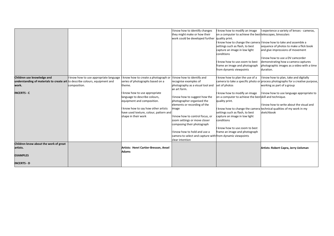|                                                                             |                                      |                                        | know how to identify changes                              | know how to modify an image                              | I experience a variety of lenses - cameras,                                    |
|-----------------------------------------------------------------------------|--------------------------------------|----------------------------------------|-----------------------------------------------------------|----------------------------------------------------------|--------------------------------------------------------------------------------|
|                                                                             |                                      |                                        | they might make or how their                              | on a computer to achieve the best telescopes, binoculars |                                                                                |
|                                                                             |                                      |                                        | work could be developed further                           | quality print.                                           |                                                                                |
|                                                                             |                                      |                                        |                                                           |                                                          | know how to change the camera I know how to take and assemble a                |
|                                                                             |                                      |                                        |                                                           | settings such as flash, to best                          | sequence of photos to make a flick book                                        |
|                                                                             |                                      |                                        |                                                           | capture an image in low light                            | and give impressions of movement                                               |
|                                                                             |                                      |                                        |                                                           | conditions                                               |                                                                                |
|                                                                             |                                      |                                        |                                                           |                                                          | I know how to use a DV camcorder                                               |
|                                                                             |                                      |                                        |                                                           | know how to use zoom to best                             | demonstrating how a camera captures                                            |
|                                                                             |                                      |                                        |                                                           | frame an image and photograph                            | photographic images as a video with a time                                     |
|                                                                             |                                      |                                        |                                                           | from dynamic viewpoints                                  | duration.                                                                      |
|                                                                             |                                      |                                        |                                                           |                                                          |                                                                                |
| Children use knowledge and                                                  | know how to use appropriate language | know how to create a photograph or     | I know how to identify and                                | know how to plan the use of a                            | I know how to plan, take and digitally                                         |
| understanding of materials to create art to describe colours, equipment and |                                      | series of photographs based on a       | recognise examples of                                     |                                                          | camera to take a specific photo or process photographs for a creative purpose, |
| work.                                                                       | composition.                         | theme.                                 | photography as a visual tool and                          | set of photos                                            | working as part of a group                                                     |
|                                                                             |                                      |                                        | an art form.                                              |                                                          |                                                                                |
| <b>INCERTS - C</b>                                                          |                                      | I know how to use appropriate          |                                                           | know how to modify an image                              | I know how to use language appropriate to                                      |
|                                                                             |                                      | language to describe colours,          | know how to suggest how the                               | on a computer to achieve the best skill and technique.   |                                                                                |
|                                                                             |                                      | equipment and composition.             | photographer organised the                                | quality print.                                           |                                                                                |
|                                                                             |                                      |                                        | elements or recording of the                              |                                                          | I know how to write about the visual and                                       |
|                                                                             |                                      | know how to say how other artists      | image                                                     |                                                          | know how to change the camera technical qualities of my work in my             |
|                                                                             |                                      | have used texture, colour, pattern and |                                                           | settings such as flash, to best                          | sketchbook                                                                     |
|                                                                             |                                      | shape in their work                    | know how to control focus, or                             | capture an image in low light                            |                                                                                |
|                                                                             |                                      |                                        | zoom settings or move closer                              | conditions                                               |                                                                                |
|                                                                             |                                      |                                        | composing their photograph                                |                                                          |                                                                                |
|                                                                             |                                      |                                        |                                                           | know how to use zoom to best                             |                                                                                |
|                                                                             |                                      |                                        | know how to hold and use a                                | frame an image and photograph                            |                                                                                |
|                                                                             |                                      |                                        | camera to select and capture with from dynamic viewpoints |                                                          |                                                                                |
|                                                                             |                                      |                                        | clear intention                                           |                                                          |                                                                                |
| Children know about the work of great                                       |                                      |                                        |                                                           |                                                          |                                                                                |
| artists.                                                                    |                                      | Artists: Henri Cartier-Bresson, Ansel  |                                                           |                                                          | Artists: Robert Capra, Jerry Uelsman                                           |
|                                                                             |                                      | <b>Adams</b>                           |                                                           |                                                          |                                                                                |
| <b>EXAMPLES</b>                                                             |                                      |                                        |                                                           |                                                          |                                                                                |
|                                                                             |                                      |                                        |                                                           |                                                          |                                                                                |
| <b>INCERTS - D</b>                                                          |                                      |                                        |                                                           |                                                          |                                                                                |